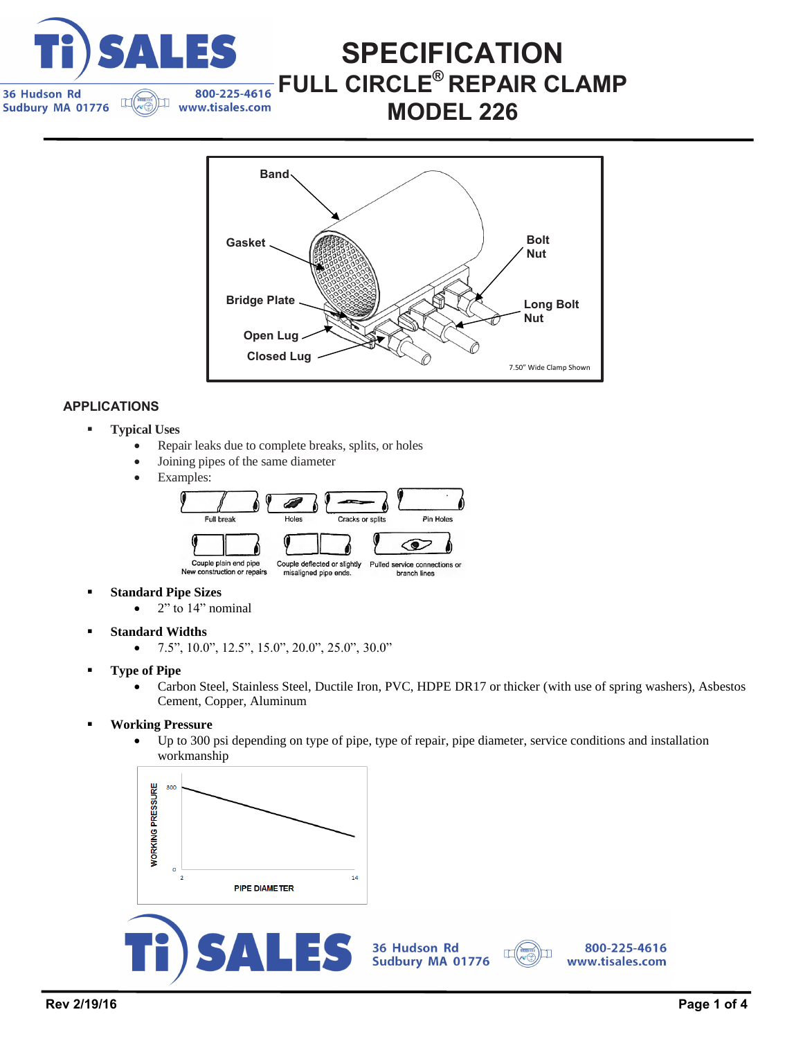

### **Band Open Lug Gasket Bridge Plate Bolt Nut Long Bolt Nut** 7.50" Wide Clamp Shown **Closed Lug**

**SPECIFICATION** 

**FULL CIRCLE® REPAIR CLAMP** 

**MODEL 226** 

### **APPLICATIONS**

- **Typical Uses**
	- Repair leaks due to complete breaks, splits, or holes
	- Joining pipes of the same diameter
	- Examples:



- **Standard Pipe Sizes**
	- $\bullet$  2" to 14" nominal
- **Standard Widths**
	- $\bullet$  7.5", 10.0", 12.5", 15.0", 20.0", 25.0", 30.0"
- **Type of Pipe**
	- Carbon Steel, Stainless Steel, Ductile Iron, PVC, HDPE DR17 or thicker (with use of spring washers), Asbestos Cement, Copper, Aluminum
- **Working Pressure**
	- Up to 300 psi depending on type of pipe, type of repair, pipe diameter, service conditions and installation workmanship





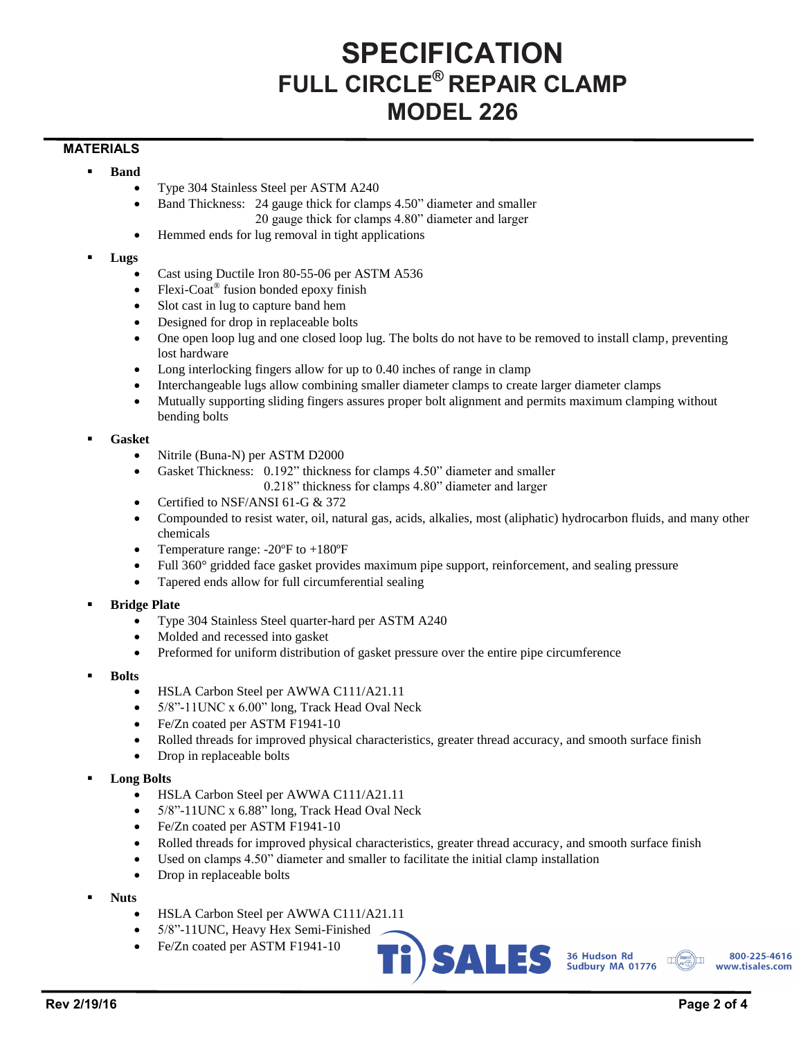# **SPECIFICATION FULL CIRCLE® REPAIR CLAMP MODEL 226**

#### **MATERIALS**

- **Band**
	- Type 304 Stainless Steel per ASTM A240
	- Band Thickness: 24 gauge thick for clamps 4.50" diameter and smaller 20 gauge thick for clamps 4.80" diameter and larger
	- Hemmed ends for lug removal in tight applications
- **Lugs**
	- Cast using Ductile Iron 80-55-06 per ASTM A536
	- Flexi-Coat® fusion bonded epoxy finish
	- Slot cast in lug to capture band hem
	- Designed for drop in replaceable bolts
	- One open loop lug and one closed loop lug. The bolts do not have to be removed to install clamp, preventing lost hardware
	- Long interlocking fingers allow for up to 0.40 inches of range in clamp
	- Interchangeable lugs allow combining smaller diameter clamps to create larger diameter clamps
	- Mutually supporting sliding fingers assures proper bolt alignment and permits maximum clamping without bending bolts
- **Gasket**
	- Nitrile (Buna-N) per ASTM D2000
	- Gasket Thickness: 0.192" thickness for clamps 4.50" diameter and smaller
		- 0.218" thickness for clamps 4.80" diameter and larger
	- Certified to NSF/ANSI 61-G & 372
	- Compounded to resist water, oil, natural gas, acids, alkalies, most (aliphatic) hydrocarbon fluids, and many other chemicals
	- Temperature range: -20ºF to +180ºF
	- Full 360° gridded face gasket provides maximum pipe support, reinforcement, and sealing pressure
	- Tapered ends allow for full circumferential sealing
- **Bridge Plate**
	- Type 304 Stainless Steel quarter-hard per ASTM A240
	- Molded and recessed into gasket
	- Preformed for uniform distribution of gasket pressure over the entire pipe circumference
- **Bolts**
	- HSLA Carbon Steel per AWWA C111/A21.11
	- 5/8"-11UNC x 6.00" long, Track Head Oval Neck
	- Fe/Zn coated per ASTM F1941-10
	- Rolled threads for improved physical characteristics, greater thread accuracy, and smooth surface finish
	- Drop in replaceable bolts
- **Long Bolts**
	- HSLA Carbon Steel per AWWA C111/A21.11
	- 5/8"-11UNC x 6.88" long, Track Head Oval Neck
	- Fe/Zn coated per ASTM F1941-10
	- Rolled threads for improved physical characteristics, greater thread accuracy, and smooth surface finish
	- Used on clamps 4.50" diameter and smaller to facilitate the initial clamp installation
	- Drop in replaceable bolts
- **Nuts**
	- HSLA Carbon Steel per AWWA C111/A21.11
	- 5/8"-11UNC, Heavy Hex Semi-Finished
	- Fe/Zn coated per ASTM F1941-10



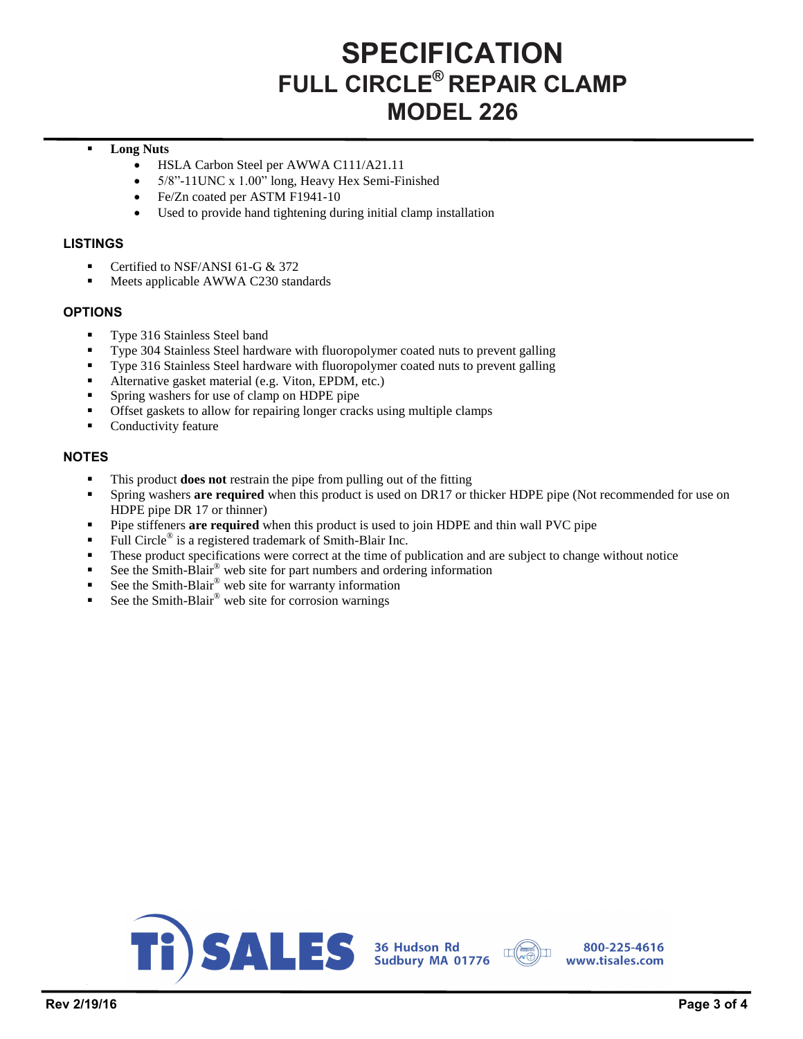# **SPECIFICATION FULL CIRCLE® REPAIR CLAMP MODEL 226**

### **Long Nuts**

- HSLA Carbon Steel per AWWA C111/A21.11
- 5/8"-11UNC x 1.00" long, Heavy Hex Semi-Finished
- Fe/Zn coated per ASTM F1941-10
- Used to provide hand tightening during initial clamp installation

### **LISTINGS**

- Certified to NSF/ANSI 61-G & 372
- **Meets applicable AWWA C230 standards**

### **OPTIONS**

- **Type 316 Stainless Steel band**
- Type 304 Stainless Steel hardware with fluoropolymer coated nuts to prevent galling
- Type 316 Stainless Steel hardware with fluoropolymer coated nuts to prevent galling
- Alternative gasket material (e.g. Viton, EPDM, etc.)
- Spring washers for use of clamp on HDPE pipe
- Offset gaskets to allow for repairing longer cracks using multiple clamps
- Conductivity feature

### **NOTES**

- This product **does not** restrain the pipe from pulling out of the fitting
- Spring washers **are required** when this product is used on DR17 or thicker HDPE pipe (Not recommended for use on HDPE pipe DR 17 or thinner)
- Pipe stiffeners **are required** when this product is used to join HDPE and thin wall PVC pipe
- Full Circle<sup>®</sup> is a registered trademark of Smith-Blair Inc.
- These product specifications were correct at the time of publication and are subject to change without notice
- See the Smith-Blair® web site for part numbers and ordering information
- See the Smith-Blair® web site for warranty information
- See the Smith-Blair® web site for corrosion warnings